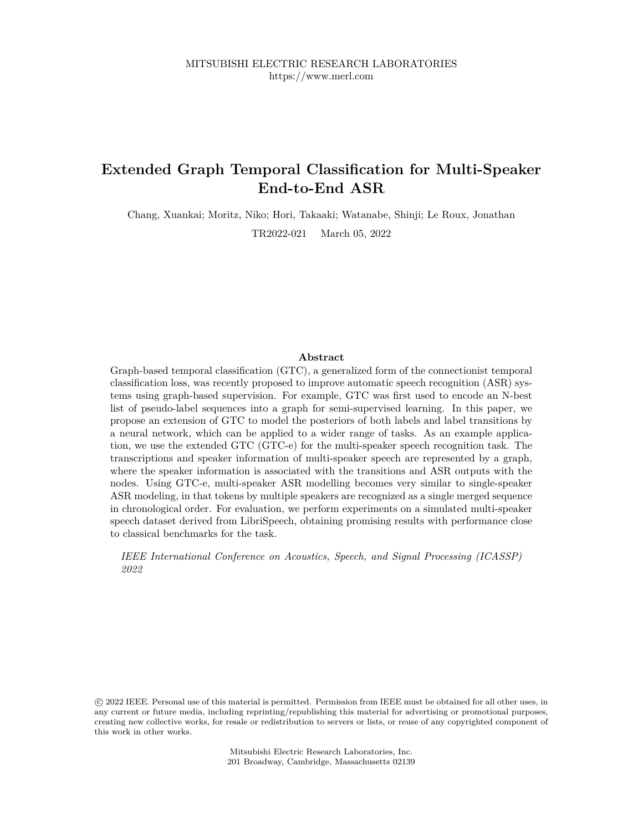# **Extended Graph Temporal Classification for Multi-Speaker End-to-End ASR**

Chang, Xuankai; Moritz, Niko; Hori, Takaaki; Watanabe, Shinji; Le Roux, Jonathan

TR2022-021 March 05, 2022

# **Abstract**

Graph-based temporal classification (GTC), a generalized form of the connectionist temporal classification loss, was recently proposed to improve automatic speech recognition (ASR) systems using graph-based supervision. For example, GTC was first used to encode an N-best list of pseudo-label sequences into a graph for semi-supervised learning. In this paper, we propose an extension of GTC to model the posteriors of both labels and label transitions by a neural network, which can be applied to a wider range of tasks. As an example application, we use the extended GTC (GTC-e) for the multi-speaker speech recognition task. The transcriptions and speaker information of multi-speaker speech are represented by a graph, where the speaker information is associated with the transitions and ASR outputs with the nodes. Using GTC-e, multi-speaker ASR modelling becomes very similar to single-speaker ASR modeling, in that tokens by multiple speakers are recognized as a single merged sequence in chronological order. For evaluation, we perform experiments on a simulated multi-speaker speech dataset derived from LibriSpeech, obtaining promising results with performance close to classical benchmarks for the task.

*IEEE International Conference on Acoustics, Speech, and Signal Processing (ICASSP) 2022*

 c 2022 IEEE. Personal use of this material is permitted. Permission from IEEE must be obtained for all other uses, in any current or future media, including reprinting/republishing this material for advertising or promotional purposes, creating new collective works, for resale or redistribution to servers or lists, or reuse of any copyrighted component of this work in other works.

> Mitsubishi Electric Research Laboratories, Inc. 201 Broadway, Cambridge, Massachusetts 02139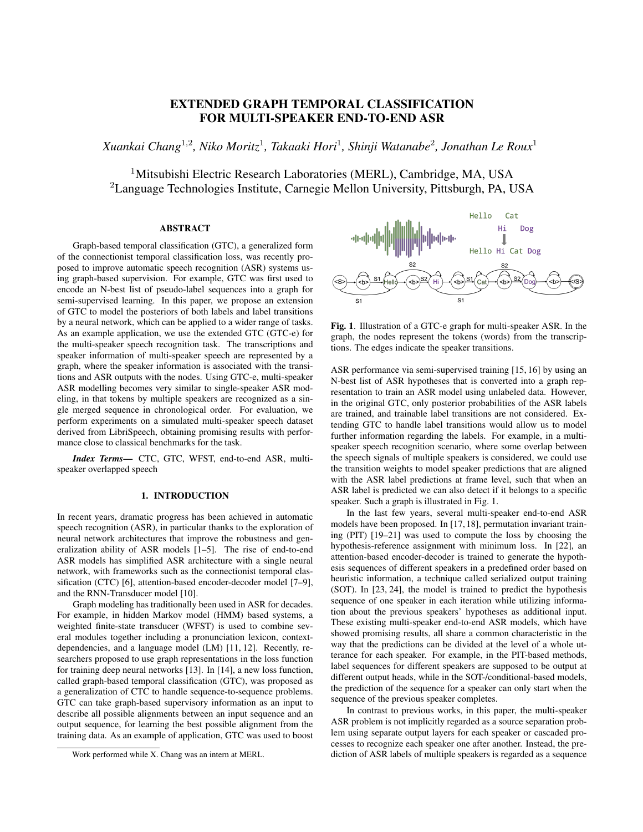# EXTENDED GRAPH TEMPORAL CLASSIFICATION FOR MULTI-SPEAKER END-TO-END ASR

*Xuankai Chang*<sup>1</sup>,<sup>2</sup> *, Niko Moritz*<sup>1</sup> *, Takaaki Hori*<sup>1</sup> *, Shinji Watanabe*<sup>2</sup> *, Jonathan Le Roux*<sup>1</sup>

<sup>1</sup>Mitsubishi Electric Research Laboratories (MERL), Cambridge, MA, USA <sup>2</sup>Language Technologies Institute, Carnegie Mellon University, Pittsburgh, PA, USA

# ABSTRACT

Graph-based temporal classification (GTC), a generalized form of the connectionist temporal classification loss, was recently proposed to improve automatic speech recognition (ASR) systems using graph-based supervision. For example, GTC was first used to encode an N-best list of pseudo-label sequences into a graph for semi-supervised learning. In this paper, we propose an extension of GTC to model the posteriors of both labels and label transitions by a neural network, which can be applied to a wider range of tasks. As an example application, we use the extended GTC (GTC-e) for the multi-speaker speech recognition task. The transcriptions and speaker information of multi-speaker speech are represented by a graph, where the speaker information is associated with the transitions and ASR outputs with the nodes. Using GTC-e, multi-speaker ASR modelling becomes very similar to single-speaker ASR modeling, in that tokens by multiple speakers are recognized as a single merged sequence in chronological order. For evaluation, we perform experiments on a simulated multi-speaker speech dataset derived from LibriSpeech, obtaining promising results with performance close to classical benchmarks for the task.

*Index Terms*— CTC, GTC, WFST, end-to-end ASR, multispeaker overlapped speech

### 1. INTRODUCTION

In recent years, dramatic progress has been achieved in automatic speech recognition (ASR), in particular thanks to the exploration of neural network architectures that improve the robustness and generalization ability of ASR models [1–5]. The rise of end-to-end ASR models has simplified ASR architecture with a single neural network, with frameworks such as the connectionist temporal classification (CTC) [6], attention-based encoder-decoder model [7–9], and the RNN-Transducer model [10].

Graph modeling has traditionally been used in ASR for decades. For example, in hidden Markov model (HMM) based systems, a weighted finite-state transducer (WFST) is used to combine several modules together including a pronunciation lexicon, contextdependencies, and a language model (LM) [11, 12]. Recently, researchers proposed to use graph representations in the loss function for training deep neural networks [13]. In [14], a new loss function, called graph-based temporal classification (GTC), was proposed as a generalization of CTC to handle sequence-to-sequence problems. GTC can take graph-based supervisory information as an input to describe all possible alignments between an input sequence and an output sequence, for learning the best possible alignment from the training data. As an example of application, GTC was used to boost



Fig. 1. Illustration of a GTC-e graph for multi-speaker ASR. In the graph, the nodes represent the tokens (words) from the transcriptions. The edges indicate the speaker transitions.

ASR performance via semi-supervised training [15, 16] by using an N-best list of ASR hypotheses that is converted into a graph representation to train an ASR model using unlabeled data. However, in the original GTC, only posterior probabilities of the ASR labels are trained, and trainable label transitions are not considered. Extending GTC to handle label transitions would allow us to model further information regarding the labels. For example, in a multispeaker speech recognition scenario, where some overlap between the speech signals of multiple speakers is considered, we could use the transition weights to model speaker predictions that are aligned with the ASR label predictions at frame level, such that when an ASR label is predicted we can also detect if it belongs to a specific speaker. Such a graph is illustrated in Fig. 1.

In the last few years, several multi-speaker end-to-end ASR models have been proposed. In [17, 18], permutation invariant training (PIT) [19–21] was used to compute the loss by choosing the hypothesis-reference assignment with minimum loss. In [22], an attention-based encoder-decoder is trained to generate the hypothesis sequences of different speakers in a predefined order based on heuristic information, a technique called serialized output training (SOT). In [23, 24], the model is trained to predict the hypothesis sequence of one speaker in each iteration while utilizing information about the previous speakers' hypotheses as additional input. These existing multi-speaker end-to-end ASR models, which have showed promising results, all share a common characteristic in the way that the predictions can be divided at the level of a whole utterance for each speaker. For example, in the PIT-based methods, label sequences for different speakers are supposed to be output at different output heads, while in the SOT-/conditional-based models, the prediction of the sequence for a speaker can only start when the sequence of the previous speaker completes.

In contrast to previous works, in this paper, the multi-speaker ASR problem is not implicitly regarded as a source separation problem using separate output layers for each speaker or cascaded processes to recognize each speaker one after another. Instead, the prediction of ASR labels of multiple speakers is regarded as a sequence

Work performed while X. Chang was an intern at MERL.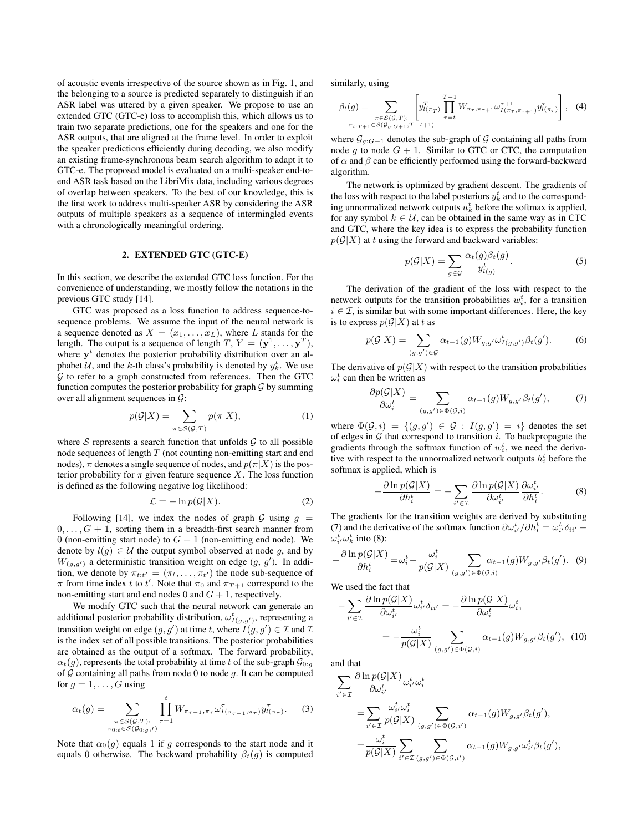of acoustic events irrespective of the source shown as in Fig. 1, and the belonging to a source is predicted separately to distinguish if an ASR label was uttered by a given speaker. We propose to use an extended GTC (GTC-e) loss to accomplish this, which allows us to train two separate predictions, one for the speakers and one for the ASR outputs, that are aligned at the frame level. In order to exploit the speaker predictions efficiently during decoding, we also modify an existing frame-synchronous beam search algorithm to adapt it to GTC-e. The proposed model is evaluated on a multi-speaker end-toend ASR task based on the LibriMix data, including various degrees of overlap between speakers. To the best of our knowledge, this is the first work to address multi-speaker ASR by considering the ASR outputs of multiple speakers as a sequence of intermingled events with a chronologically meaningful ordering.

## 2. EXTENDED GTC (GTC-E)

In this section, we describe the extended GTC loss function. For the convenience of understanding, we mostly follow the notations in the previous GTC study [14].

GTC was proposed as a loss function to address sequence-tosequence problems. We assume the input of the neural network is a sequence denoted as  $X = (x_1, \ldots, x_L)$ , where L stands for the length. The output is a sequence of length  $T, Y = (\mathbf{y}^1, \dots, \mathbf{y}^T)$ , where  $y<sup>t</sup>$  denotes the posterior probability distribution over an alphabet U, and the k-th class's probability is denoted by  $y_k^t$ . We use  $G$  to refer to a graph constructed from references. Then the GTC function computes the posterior probability for graph  $\mathcal G$  by summing over all alignment sequences in  $\mathcal{G}$ :

$$
p(G|X) = \sum_{\pi \in S(G,T)} p(\pi|X), \tag{1}
$$

where  $S$  represents a search function that unfolds  $G$  to all possible node sequences of length  $T$  (not counting non-emitting start and end nodes),  $\pi$  denotes a single sequence of nodes, and  $p(\pi|X)$  is the posterior probability for  $\pi$  given feature sequence X. The loss function is defined as the following negative log likelihood:

$$
\mathcal{L} = -\ln p(\mathcal{G}|X). \tag{2}
$$

Following [14], we index the nodes of graph G using  $q =$  $0, \ldots, G + 1$ , sorting them in a breadth-first search manner from 0 (non-emitting start node) to  $G + 1$  (non-emitting end node). We denote by  $l(g) \in U$  the output symbol observed at node g, and by  $W_{(g,g')}$  a deterministic transition weight on edge  $(g, g')$ . In addition, we denote by  $\pi_{t:t'} = (\pi_t, \dots, \pi_{t'})$  the node sub-sequence of  $\pi$  from time index t to t'. Note that  $\pi_0$  and  $\pi_{T+1}$  correspond to the non-emitting start and end nodes 0 and  $G + 1$ , respectively.

We modify GTC such that the neural network can generate an additional posterior probability distribution,  $\omega_{I(g,g')}^{t}$ , representing a transition weight on edge  $(g, g')$  at time t, where  $I(g, g') \in \mathcal{I}$  and  $\mathcal{I}$ is the index set of all possible transitions. The posterior probabilities are obtained as the output of a softmax. The forward probability,  $\alpha_t(q)$ , represents the total probability at time t of the sub-graph  $\mathcal{G}_{0:q}$ of  $G$  containing all paths from node 0 to node  $g$ . It can be computed for  $q = 1, \ldots, G$  using

$$
\alpha_t(g) = \sum_{\substack{\pi \in S(G,T):\\ \pi_{0:t} \in S(G_{0:g},t)}} \prod_{\tau=1}^t W_{\pi_{\tau-1}, \pi_{\tau}} \omega_{I(\pi_{\tau-1}, \pi_{\tau})}^{\tau} y_{l(\pi_{\tau})}^{\tau}.
$$
 (3)

Note that  $\alpha_0(g)$  equals 1 if g corresponds to the start node and it equals 0 otherwise. The backward probability  $\beta_t(g)$  is computed

similarly, using

$$
\beta_t(g) = \sum_{\substack{\pi \in S(G,T): \\ \pi_{t:T+1} \in S(G_g, G+1, T-t+1)}} \left[ y_{t(\pi_T)}^T \prod_{\tau=t}^{T-1} W_{\pi_{\tau}, \pi_{\tau+1}} \omega_{I(\pi_{\tau}, \pi_{\tau+1})}^{\tau+1} y_{t(\pi_{\tau})}^T \right], \quad (4)
$$

where  $\mathcal{G}_{g:G+1}$  denotes the sub-graph of  $\mathcal G$  containing all paths from node g to node  $G + 1$ . Similar to GTC or CTC, the computation of  $\alpha$  and  $\beta$  can be efficiently performed using the forward-backward algorithm.

The network is optimized by gradient descent. The gradients of the loss with respect to the label posteriors  $y_k^t$  and to the corresponding unnormalized network outputs  $u_k^t$  before the softmax is applied, for any symbol  $k \in U$ , can be obtained in the same way as in CTC and GTC, where the key idea is to express the probability function  $p(G|X)$  at t using the forward and backward variables:

$$
p(\mathcal{G}|X) = \sum_{g \in \mathcal{G}} \frac{\alpha_t(g)\beta_t(g)}{y_{l(g)}^t}.
$$
 (5)

The derivation of the gradient of the loss with respect to the network outputs for the transition probabilities  $w_i^t$ , for a transition  $i \in \mathcal{I}$ , is similar but with some important differences. Here, the key is to express  $p(G|X)$  at t as

$$
p(\mathcal{G}|X) = \sum_{(g,g') \in \mathcal{G}} \alpha_{t-1}(g) W_{g,g'} \omega^t_{I(g,g')} \beta_t(g'). \tag{6}
$$

The derivative of  $p(G|X)$  with respect to the transition probabilities  $\omega_i^t$  can then be written as

$$
\frac{\partial p(\mathcal{G}|X)}{\partial \omega_i^t} = \sum_{(g,g') \in \Phi(\mathcal{G},i)} \alpha_{t-1}(g) W_{g,g'} \beta_t(g'),\tag{7}
$$

where  $\Phi(\mathcal{G}, i) = \{ (g, g') \in \mathcal{G} : I(g, g') = i \}$  denotes the set of edges in  $G$  that correspond to transition  $i$ . To backpropagate the gradients through the softmax function of  $w_i^t$ , we need the derivative with respect to the unnormalized network outputs  $h_i^t$  before the softmax is applied, which is

$$
-\frac{\partial \ln p(\mathcal{G}|X)}{\partial h_i^t} = -\sum_{i' \in \mathcal{I}} \frac{\partial \ln p(\mathcal{G}|X)}{\partial \omega_{i'}^t} \frac{\partial \omega_{i'}^t}{\partial h_i^t}.
$$
 (8)

The gradients for the transition weights are derived by substituting (7) and the derivative of the softmax function  $\partial \omega_{i'}^t / \partial h_i^t = \omega_{i'}^t \delta_{ii'} \omega_i^t \omega_k^t$  into (8):

$$
-\frac{\partial \ln p(\mathcal{G}|X)}{\partial h_i^t} = \omega_i^t - \frac{\omega_i^t}{p(\mathcal{G}|X)} \sum_{(g,g') \in \Phi(\mathcal{G},i)} \alpha_{t-1}(g) W_{g,g'} \beta_t(g'). \tag{9}
$$

We used the fact that

$$
-\sum_{i'\in\mathcal{I}}\frac{\partial\ln p(\mathcal{G}|X)}{\partial\omega_{i'}^t}\omega_{i'}^t\delta_{ii'} = -\frac{\partial\ln p(\mathcal{G}|X)}{\partial\omega_i^t}\omega_i^t,
$$

$$
=-\frac{\omega_i^t}{p(\mathcal{G}|X)}\sum_{(g,g')\in\Phi(\mathcal{G},i)}\alpha_{t-1}(g)W_{g,g'}\beta_t(g'),\quad(10)
$$

and that

$$
\sum_{i' \in \mathcal{I}} \frac{\partial \ln p(\mathcal{G}|X)}{\partial \omega_{i'}^t} \omega_{i'}^t \omega_i^t
$$
\n
$$
= \sum_{i' \in \mathcal{I}} \frac{\omega_{i'}^t \omega_i^t}{p(\mathcal{G}|X)} \sum_{(g,g') \in \Phi(\mathcal{G}, i')} \alpha_{t-1}(g) W_{g,g'} \beta_t(g'),
$$
\n
$$
= \frac{\omega_i^t}{p(\mathcal{G}|X)} \sum_{i' \in \mathcal{I}} \sum_{(g,g') \in \Phi(\mathcal{G}, i')} \alpha_{t-1}(g) W_{g,g'} \omega_{i'}^t \beta_t(g'),
$$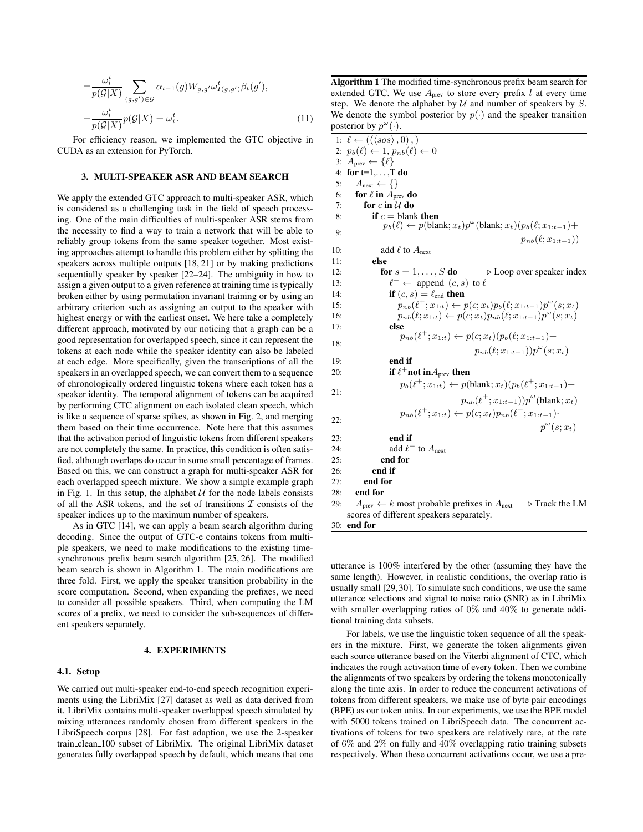$$
= \frac{\omega_i^t}{p(\mathcal{G}|X)} \sum_{(g,g') \in \mathcal{G}} \alpha_{t-1}(g) W_{g,g'} \omega_{I(g,g')}^t \beta_t(g'),
$$
  

$$
= \frac{\omega_i^t}{p(\mathcal{G}|X)} p(\mathcal{G}|X) = \omega_i^t.
$$
 (11)

For efficiency reason, we implemented the GTC objective in CUDA as an extension for PyTorch.

#### 3. MULTI-SPEAKER ASR AND BEAM SEARCH

We apply the extended GTC approach to multi-speaker ASR, which is considered as a challenging task in the field of speech processing. One of the main difficulties of multi-speaker ASR stems from the necessity to find a way to train a network that will be able to reliably group tokens from the same speaker together. Most existing approaches attempt to handle this problem either by splitting the speakers across multiple outputs [18, 21] or by making predictions sequentially speaker by speaker [22–24]. The ambiguity in how to assign a given output to a given reference at training time is typically broken either by using permutation invariant training or by using an arbitrary criterion such as assigning an output to the speaker with highest energy or with the earliest onset. We here take a completely different approach, motivated by our noticing that a graph can be a good representation for overlapped speech, since it can represent the tokens at each node while the speaker identity can also be labeled at each edge. More specifically, given the transcriptions of all the speakers in an overlapped speech, we can convert them to a sequence of chronologically ordered linguistic tokens where each token has a speaker identity. The temporal alignment of tokens can be acquired by performing CTC alignment on each isolated clean speech, which is like a sequence of sparse spikes, as shown in Fig. 2, and merging them based on their time occurrence. Note here that this assumes that the activation period of linguistic tokens from different speakers are not completely the same. In practice, this condition is often satisfied, although overlaps do occur in some small percentage of frames. Based on this, we can construct a graph for multi-speaker ASR for each overlapped speech mixture. We show a simple example graph in Fig. 1. In this setup, the alphabet  $U$  for the node labels consists of all the ASR tokens, and the set of transitions  $\mathcal I$  consists of the speaker indices up to the maximum number of speakers.

As in GTC [14], we can apply a beam search algorithm during decoding. Since the output of GTC-e contains tokens from multiple speakers, we need to make modifications to the existing timesynchronous prefix beam search algorithm [25, 26]. The modified beam search is shown in Algorithm 1. The main modifications are three fold. First, we apply the speaker transition probability in the score computation. Second, when expanding the prefixes, we need to consider all possible speakers. Third, when computing the LM scores of a prefix, we need to consider the sub-sequences of different speakers separately.

#### 4. EXPERIMENTS

#### 4.1. Setup

We carried out multi-speaker end-to-end speech recognition experiments using the LibriMix [27] dataset as well as data derived from it. LibriMix contains multi-speaker overlapped speech simulated by mixing utterances randomly chosen from different speakers in the LibriSpeech corpus [28]. For fast adaption, we use the 2-speaker train clean 100 subset of LibriMix. The original LibriMix dataset generates fully overlapped speech by default, which means that one

Algorithm 1 The modified time-synchronous prefix beam search for extended GTC. We use  $A_{prev}$  to store every prefix l at every time step. We denote the alphabet by  $U$  and number of speakers by  $S$ . We denote the symbol posterior by  $p(\cdot)$  and the speaker transition posterior by  $p^{\omega}(\cdot)$ .

1:  $\ell \leftarrow ((\langle sos \rangle, 0),)$ 2:  $p_b(\ell) \leftarrow 1, p_{nb}(\ell) \leftarrow 0$ 3:  $A_{prev} \leftarrow {\ell}$ 4: for  $t=1,...,T$  do 5:  $A_{\text{next}} \leftarrow \{\}$ 6: for  $\ell$  in  $A_{prev}$  do 7: for c in  $U$  do 8: if  $c =$  blank then 9:  $p_b(\ell) \leftarrow p(\text{blank}; x_t) p^{\omega}(\text{blank}; x_t) (p_b(\ell; x_{1:t-1}) +$  $p_{nb}(\ell; x_{1:t-1})$ 10: add  $\ell$  to  $A_{\text{next}}$ 11: else 12: **for**  $s = 1, \ldots, S$  **do**  $\triangleright$  Loop over speaker index 13: `  $\ell^+ \leftarrow$  append  $(c, s)$  to  $\ell$ 14: **if**  $(c, s) = \ell_{end}$  **then** 15:  $p_{nb}(\ell^+; x_{1:t}) \leftarrow p(c; x_t) p_b(\ell; x_{1:t-1}) p^{\omega}(s; x_t)$ 16:  $p_{nb}(\ell; x_{1:t}) \leftarrow p(c; x_t) p_{nb}(\ell; x_{1:t-1}) p^{\omega}(s; x_t)$ 17: else 18:  $p_{nb}(\ell^+; x_{1:t}) \leftarrow p(c; x_t)(p_b(\ell; x_{1:t-1}) +$  $p_{nb}(\ell; x_{1:t-1})) p^{\omega}(s; x_t)$ 19: end if 20: **if**  $\ell^+$  not in $A_{\text{prev}}$  then  $21.$  $p_b(\ell^+; x_{1:t}) \leftarrow p(\text{blank}; x_t)(p_b(\ell^+; x_{1:t-1}) +$  $p_{nb}(\ell^{\dagger}; x_{1:t-1}))p^{\omega}$ (blank;  $x_t$ ) 22:  $p_{nb}(\ell^+; x_{1:t}) \leftarrow p(c; x_t) p_{nb}(\ell^+; x_{1:t-1})$ p ω  $(s; x_t)$ 23: end if 24: add  $\ell^+$  to  $A_{\text{next}}$ 25: end for 26: end if 27: end for 28: end for 29:  $A_{prev} \leftarrow k$  most probable prefixes in  $A_{next}$   $\triangleright$  Track the LM scores of different speakers separately.

30: end for

utterance is 100% interfered by the other (assuming they have the same length). However, in realistic conditions, the overlap ratio is usually small [29, 30]. To simulate such conditions, we use the same utterance selections and signal to noise ratio (SNR) as in LibriMix with smaller overlapping ratios of  $0\%$  and  $40\%$  to generate additional training data subsets.

For labels, we use the linguistic token sequence of all the speakers in the mixture. First, we generate the token alignments given each source utterance based on the Viterbi alignment of CTC, which indicates the rough activation time of every token. Then we combine the alignments of two speakers by ordering the tokens monotonically along the time axis. In order to reduce the concurrent activations of tokens from different speakers, we make use of byte pair encodings (BPE) as our token units. In our experiments, we use the BPE model with 5000 tokens trained on LibriSpeech data. The concurrent activations of tokens for two speakers are relatively rare, at the rate of 6% and 2% on fully and 40% overlapping ratio training subsets respectively. When these concurrent activations occur, we use a pre-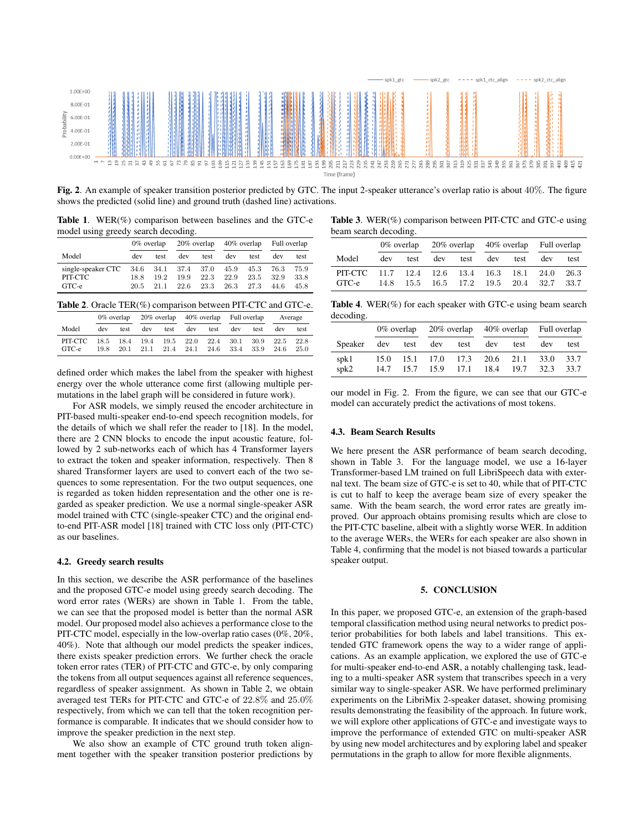

Fig. 2. An example of speaker transition posterior predicted by GTC. The input 2-speaker utterance's overlap ratio is about 40%. The figure shows the predicted (solid line) and ground truth (dashed line) activations.

Table 1. WER(%) comparison between baselines and the GTC-e model using greedy search decoding.

|                                                            | $0\%$ overlap |             | $20\%$ overlap $40\%$ overlap |              |                      |                      | Full overlap         |                      |
|------------------------------------------------------------|---------------|-------------|-------------------------------|--------------|----------------------|----------------------|----------------------|----------------------|
| Model                                                      | dev           | test        | dev                           | test         | dev                  | test                 | dev                  | test.                |
| single-speaker CTC 34.6 34.1 37.4 37.0<br>PIT-CTC<br>GTC-e | 18.8<br>20.5  | 192<br>21 1 | 19.9<br>22.6                  | 22.3<br>23.3 | 45.9<br>22.9<br>26.3 | 45.3<br>23.5<br>27.3 | 76.3<br>32.9<br>44.6 | 75.9<br>33.8<br>45.8 |

Table 2. Oracle TER(%) comparison between PIT-CTC and GTC-e.

|                  |      |      | 0% overlap 20% overlap 40% overlap Full overlap                               |          |     |      |     |      | Average           |      |
|------------------|------|------|-------------------------------------------------------------------------------|----------|-----|------|-----|------|-------------------|------|
| Model            | dev  | test |                                                                               | dev test | dev | test | dev | test | dev               | test |
| PIT-CTC<br>GTC-e | 19.8 |      | 18.5 18.4 19.4 19.5 22.0 22.4 30.1 30.9<br>20.1 21.1 21.4 24.1 24.6 33.4 33.9 |          |     |      |     |      | 22.5 22.8<br>24.6 | 25.0 |

defined order which makes the label from the speaker with highest energy over the whole utterance come first (allowing multiple permutations in the label graph will be considered in future work).

For ASR models, we simply reused the encoder architecture in PIT-based multi-speaker end-to-end speech recognition models, for the details of which we shall refer the reader to [18]. In the model, there are 2 CNN blocks to encode the input acoustic feature, followed by 2 sub-networks each of which has 4 Transformer layers to extract the token and speaker information, respectively. Then 8 shared Transformer layers are used to convert each of the two sequences to some representation. For the two output sequences, one is regarded as token hidden representation and the other one is regarded as speaker prediction. We use a normal single-speaker ASR model trained with CTC (single-speaker CTC) and the original endto-end PIT-ASR model [18] trained with CTC loss only (PIT-CTC) as our baselines.

#### 4.2. Greedy search results

In this section, we describe the ASR performance of the baselines and the proposed GTC-e model using greedy search decoding. The word error rates (WERs) are shown in Table 1. From the table, we can see that the proposed model is better than the normal ASR model. Our proposed model also achieves a performance close to the PIT-CTC model, especially in the low-overlap ratio cases (0%, 20%, 40%). Note that although our model predicts the speaker indices, there exists speaker prediction errors. We further check the oracle token error rates (TER) of PIT-CTC and GTC-e, by only comparing the tokens from all output sequences against all reference sequences, regardless of speaker assignment. As shown in Table 2, we obtain averaged test TERs for PIT-CTC and GTC-e of 22.8% and 25.0% respectively, from which we can tell that the token recognition performance is comparable. It indicates that we should consider how to improve the speaker prediction in the next step.

We also show an example of CTC ground truth token alignment together with the speaker transition posterior predictions by

Table 3. WER(%) comparison between PIT-CTC and GTC-e using beam search decoding.

|                                                     | 0% overlap |  |                   |  | $20\%$ overlap $40\%$ overlap Full overlap |                                    |     |               |
|-----------------------------------------------------|------------|--|-------------------|--|--------------------------------------------|------------------------------------|-----|---------------|
| Model                                               | dev        |  | test dev test dev |  |                                            | test                               | dev | test          |
| PIT-CTC 11.7 12.4 12.6 13.4 16.3 18.1 24.0<br>GTC-e |            |  |                   |  |                                            | 14.8 15.5 16.5 17.2 19.5 20.4 32.7 |     | 26.3<br>-33.7 |

**Table 4.** WER $(\%)$  for each speaker with GTC-e using beam search decoding.

|              | $0\%$ overlap |  |                     |                     | 20% overlap 40% overlap Full overlap |      |              |              |
|--------------|---------------|--|---------------------|---------------------|--------------------------------------|------|--------------|--------------|
| Speaker      |               |  | dev test dev        | test                | dev                                  | test | dev          | test         |
| spk1<br>spk2 | 14.7          |  | 15.0 15.1 17.0 17.3 | 15.7 15.9 17.1 18.4 | 20.6 21.1                            | 19.7 | 33.0<br>32.3 | 33.7<br>33.7 |

our model in Fig. 2. From the figure, we can see that our GTC-e model can accurately predict the activations of most tokens.

#### 4.3. Beam Search Results

We here present the ASR performance of beam search decoding, shown in Table 3. For the language model, we use a 16-layer Transformer-based LM trained on full LibriSpeech data with external text. The beam size of GTC-e is set to 40, while that of PIT-CTC is cut to half to keep the average beam size of every speaker the same. With the beam search, the word error rates are greatly improved. Our approach obtains promising results which are close to the PIT-CTC baseline, albeit with a slightly worse WER. In addition to the average WERs, the WERs for each speaker are also shown in Table 4, confirming that the model is not biased towards a particular speaker output.

#### 5. CONCLUSION

In this paper, we proposed GTC-e, an extension of the graph-based temporal classification method using neural networks to predict posterior probabilities for both labels and label transitions. This extended GTC framework opens the way to a wider range of applications. As an example application, we explored the use of GTC-e for multi-speaker end-to-end ASR, a notably challenging task, leading to a multi-speaker ASR system that transcribes speech in a very similar way to single-speaker ASR. We have performed preliminary experiments on the LibriMix 2-speaker dataset, showing promising results demonstrating the feasibility of the approach. In future work, we will explore other applications of GTC-e and investigate ways to improve the performance of extended GTC on multi-speaker ASR by using new model architectures and by exploring label and speaker permutations in the graph to allow for more flexible alignments.